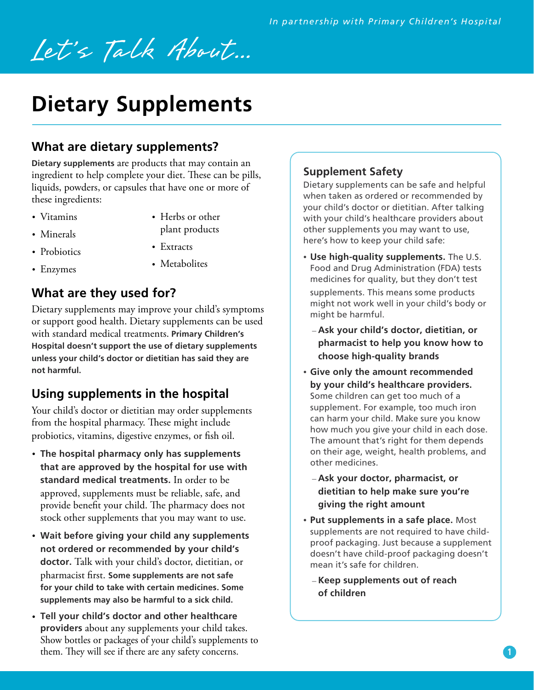# Let's Talk About...

## **Dietary Supplements**

#### **What are dietary supplements?**

**Dietary supplements** are products that may contain an ingredient to help complete your diet. These can be pills, liquids, powders, or capsules that have one or more of these ingredients:

• Vitamins

- Herbs or other plant products
- Minerals • Probiotics
- Extracts
- Enzymes
- Metabolites

### **What are they used for?**

Dietary supplements may improve your child's symptoms or support good health. Dietary supplements can be used with standard medical treatments. **Primary Children's Hospital doesn't support the use of dietary supplements unless your child's doctor or dietitian has said they are not harmful.** 

#### **Using supplements in the hospital**

Your child's doctor or dietitian may order supplements from the hospital pharmacy. These might include probiotics, vitamins, digestive enzymes, or fish oil.

- **The hospital pharmacy only has supplements that are approved by the hospital for use with standard medical treatments.** In order to be approved, supplements must be reliable, safe, and provide benefit your child. The pharmacy does not stock other supplements that you may want to use.
- **Wait before giving your child any supplements not ordered or recommended by your child's doctor.** Talk with your child's doctor, dietitian, or pharmacist first. **Some supplements are not safe for your child to take with certain medicines. Some supplements may also be harmful to a sick child.**
- **Tell your child's doctor and other healthcare providers** about any supplements your child takes. Show bottles or packages of your child's supplements to them. They will see if there are any safety concerns.

#### **Supplement Safety**

Dietary supplements can be safe and helpful when taken as ordered or recommended by your child's doctor or dietitian. After talking with your child's healthcare providers about other supplements you may want to use, here's how to keep your child safe:

- **Use high-quality supplements.** The U.S. Food and Drug Administration (FDA) tests medicines for quality, but they don't test supplements. This means some products might not work well in your child's body or might be harmful.
	- **Ask your child's doctor, dietitian, or pharmacist to help you know how to choose high-quality brands**
- **Give only the amount recommended by your child's healthcare providers.**  Some children can get too much of a supplement. For example, too much iron can harm your child. Make sure you know how much you give your child in each dose. The amount that's right for them depends on their age, weight, health problems, and other medicines.
	- **Ask your doctor, pharmacist, or dietitian to help make sure you're giving the right amount**
- **Put supplements in a safe place.** Most supplements are not required to have childproof packaging. Just because a supplement doesn't have child-proof packaging doesn't mean it's safe for children.
	- **Keep supplements out of reach of children**